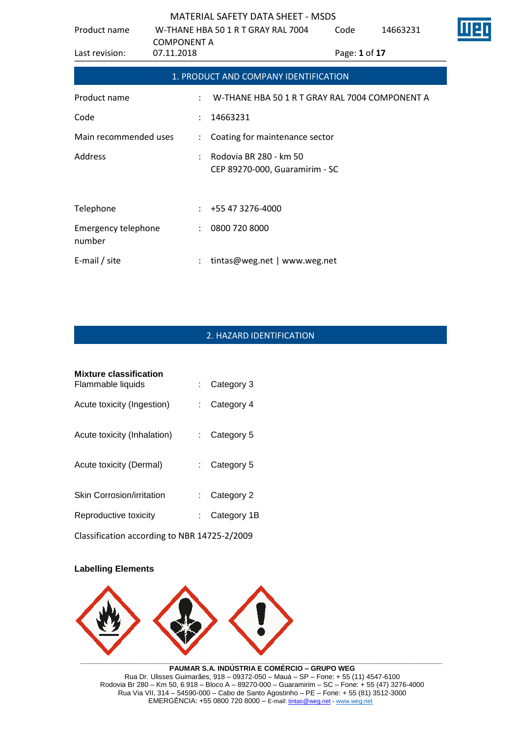| Product name                  | W-THANE HBA 50 1 R T GRAY RAL 7004<br><b>COMPONENT A</b> |                                                          | Code          | 14663231 |  |
|-------------------------------|----------------------------------------------------------|----------------------------------------------------------|---------------|----------|--|
| Last revision:                | 07.11.2018                                               |                                                          | Page: 1 of 17 |          |  |
|                               |                                                          | 1. PRODUCT AND COMPANY IDENTIFICATION                    |               |          |  |
| Product name                  | $\ddot{\phantom{a}}$                                     | W-THANE HBA 50 1 R T GRAY RAL 7004 COMPONENT A           |               |          |  |
| Code                          | $\ddot{\phantom{0}}$                                     | 14663231                                                 |               |          |  |
| Main recommended uses         | $\mathcal{L}$                                            | Coating for maintenance sector                           |               |          |  |
| Address                       |                                                          | Rodovia BR 280 - km 50<br>CEP 89270-000, Guaramirim - SC |               |          |  |
| Telephone                     | ÷                                                        | +55 47 3276-4000                                         |               |          |  |
| Emergency telephone<br>number | $\ddot{\phantom{0}}$                                     | 0800 720 8000                                            |               |          |  |
| E-mail / site                 |                                                          | tintas@weg.net   www.weg.net                             |               |          |  |

# 2. HAZARD IDENTIFICATION

| <b>Mixture classification</b><br>Flammable liquids | $\therefore$ Category 3 |  |
|----------------------------------------------------|-------------------------|--|
| Acute toxicity (Ingestion)                         | Category 4              |  |
| Acute toxicity (Inhalation)                        | Category 5              |  |
| Acute toxicity (Dermal)                            | $\therefore$ Category 5 |  |
| <b>Skin Corrosion/irritation</b>                   | $\therefore$ Category 2 |  |
| Reproductive toxicity                              | Category 1B             |  |
|                                                    |                         |  |

Classification according to NBR 14725-2/2009

### **Labelling Elements**



**PAUMAR S.A. INDÚSTRIA E COMÉRCIO – GRUPO WEG** Rua Dr. Ulisses Guimarães, 918 – 09372-050 – Mauá – SP – Fone: + 55 (11) 4547-6100 Rodovia Br 280 – Km 50, 6.918 – Bloco A – 89270-000 – Guaramirim – SC – Fone: + 55 (47) 3276-4000 Rua Via VII, 314 – 54590-000 – Cabo de Santo Agostinho – PE – Fone: + 55 (81) 3512-3000 EMERGËNCIA: +55 0800 720 8000 – E-mail[: tintas@weg.net](mailto:tintas@weg.net) - [www.weg.net](http://www.weg.net/)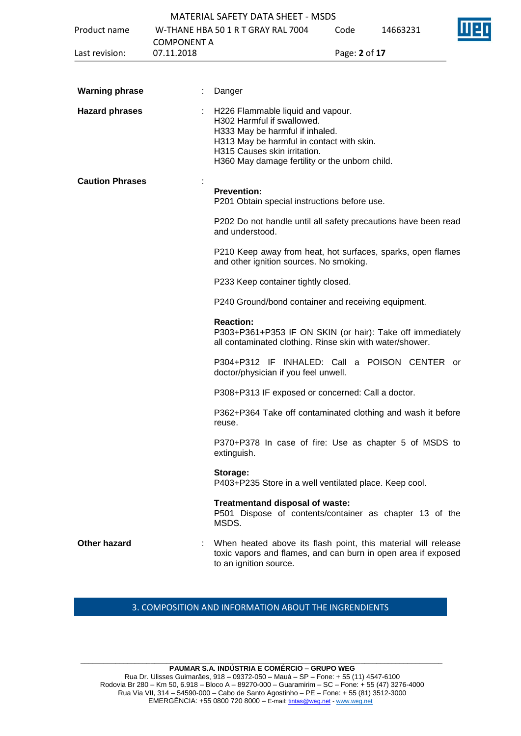|                        |                    | <b>MATERIAL SAFETY DATA SHEET - MSDS</b>                                                                                                                                                                                          |               |          |  |
|------------------------|--------------------|-----------------------------------------------------------------------------------------------------------------------------------------------------------------------------------------------------------------------------------|---------------|----------|--|
| Product name           |                    | W-THANE HBA 50 1 R T GRAY RAL 7004                                                                                                                                                                                                | Code          | 14663231 |  |
|                        | <b>COMPONENT A</b> |                                                                                                                                                                                                                                   |               |          |  |
| Last revision:         | 07.11.2018         |                                                                                                                                                                                                                                   | Page: 2 of 17 |          |  |
|                        |                    |                                                                                                                                                                                                                                   |               |          |  |
| <b>Warning phrase</b>  |                    | Danger                                                                                                                                                                                                                            |               |          |  |
| <b>Hazard phrases</b>  |                    | H226 Flammable liquid and vapour.<br>H302 Harmful if swallowed.<br>H333 May be harmful if inhaled.<br>H313 May be harmful in contact with skin.<br>H315 Causes skin irritation.<br>H360 May damage fertility or the unborn child. |               |          |  |
| <b>Caution Phrases</b> |                    | <b>Prevention:</b><br>P201 Obtain special instructions before use.                                                                                                                                                                |               |          |  |
|                        |                    | P202 Do not handle until all safety precautions have been read<br>and understood.                                                                                                                                                 |               |          |  |
|                        |                    | P210 Keep away from heat, hot surfaces, sparks, open flames<br>and other ignition sources. No smoking.                                                                                                                            |               |          |  |
|                        |                    | P233 Keep container tightly closed.                                                                                                                                                                                               |               |          |  |
|                        |                    | P240 Ground/bond container and receiving equipment.                                                                                                                                                                               |               |          |  |
|                        |                    | <b>Reaction:</b><br>P303+P361+P353 IF ON SKIN (or hair): Take off immediately<br>all contaminated clothing. Rinse skin with water/shower.                                                                                         |               |          |  |
|                        |                    | P304+P312 IF INHALED: Call a POISON CENTER or<br>doctor/physician if you feel unwell.                                                                                                                                             |               |          |  |
|                        |                    | P308+P313 IF exposed or concerned: Call a doctor.                                                                                                                                                                                 |               |          |  |
|                        |                    | P362+P364 Take off contaminated clothing and wash it before<br>reuse.                                                                                                                                                             |               |          |  |
|                        |                    | P370+P378 In case of fire: Use as chapter 5 of MSDS to<br>extinguish.                                                                                                                                                             |               |          |  |
|                        |                    | Storage:<br>P403+P235 Store in a well ventilated place. Keep cool.                                                                                                                                                                |               |          |  |
|                        |                    | Treatmentand disposal of waste:<br>P501 Dispose of contents/container as chapter 13 of the<br>MSDS.                                                                                                                               |               |          |  |
| Other hazard           |                    | When heated above its flash point, this material will release<br>toxic vapors and flames, and can burn in open area if exposed<br>to an ignition source.                                                                          |               |          |  |
|                        |                    |                                                                                                                                                                                                                                   |               |          |  |

## 3. COMPOSITION AND INFORMATION ABOUT THE INGRENDIENTS

**\_\_\_\_\_\_\_\_\_\_\_\_\_\_\_\_\_\_\_\_\_\_\_\_\_\_\_\_\_\_\_\_\_\_\_\_\_\_\_\_\_\_\_\_\_\_\_\_\_\_\_\_\_\_\_\_\_\_\_\_\_\_\_\_\_\_\_\_\_\_\_\_\_\_\_\_\_\_\_\_\_\_\_\_\_\_\_\_\_\_\_\_\_ PAUMAR S.A. INDÚSTRIA E COMÉRCIO – GRUPO WEG** Rua Dr. Ulisses Guimarães, 918 – 09372-050 – Mauá – SP – Fone: + 55 (11) 4547-6100 Rodovia Br 280 – Km 50, 6.918 – Bloco A – 89270-000 – Guaramirim – SC – Fone: + 55 (47) 3276-4000 Rua Via VII, 314 – 54590-000 – Cabo de Santo Agostinho – PE – Fone: + 55 (81) 3512-3000 EMERGËNCIA: +55 0800 720 8000 – E-mail[: tintas@weg.net](mailto:tintas@weg.net) - [www.weg.net](http://www.weg.net/)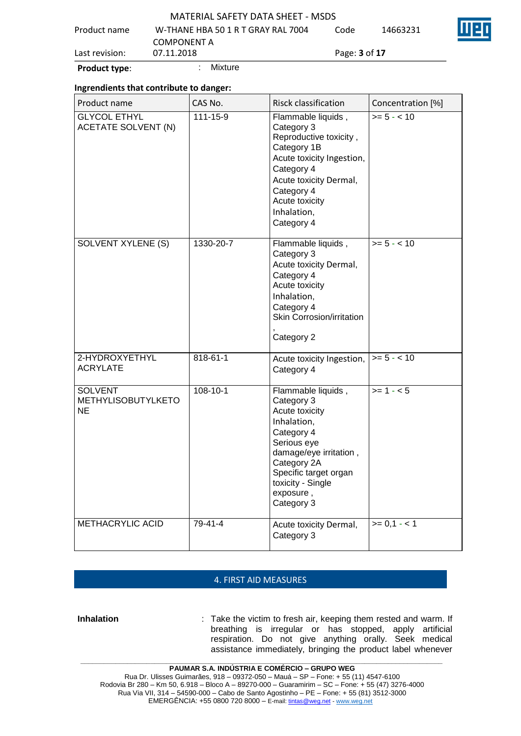| <b>Product type:</b> | Mixture                                                  |                             |          |  |
|----------------------|----------------------------------------------------------|-----------------------------|----------|--|
| Last revision:       | 07.11.2018                                               | Page: <b>3</b> of <b>17</b> |          |  |
| Product name         | W-THANE HBA 50 1 R T GRAY RAL 7004<br><b>COMPONENT A</b> | Code                        | 14663231 |  |
|                      | <b>MATERIAL SAFETY DATA SHEET - MSDS</b>                 |                             |          |  |

### **Ingrendients that contribute to danger:**

| Product name                                      | CAS No.        | <b>Risck classification</b>                                                                                                                                                                                      | Concentration [%] |
|---------------------------------------------------|----------------|------------------------------------------------------------------------------------------------------------------------------------------------------------------------------------------------------------------|-------------------|
| <b>GLYCOL ETHYL</b><br><b>ACETATE SOLVENT (N)</b> | 111-15-9       | Flammable liquids,<br>Category 3<br>Reproductive toxicity,<br>Category 1B<br>Acute toxicity Ingestion,<br>Category 4<br>Acute toxicity Dermal,<br>Category 4<br>Acute toxicity<br>Inhalation,<br>Category 4      | $>= 5 - < 10$     |
| <b>SOLVENT XYLENE (S)</b>                         | 1330-20-7      | Flammable liquids,<br>Category 3<br>Acute toxicity Dermal,<br>Category 4<br>Acute toxicity<br>Inhalation,<br>Category 4<br>Skin Corrosion/irritation<br>Category 2                                               | $>= 5 - < 10$     |
| 2-HYDROXYETHYL<br><b>ACRYLATE</b>                 | 818-61-1       | Acute toxicity Ingestion,<br>Category 4                                                                                                                                                                          | $>= 5 - < 10$     |
| <b>SOLVENT</b><br>METHYLISOBUTYLKETO<br>NE        | $108 - 10 - 1$ | Flammable liquids,<br>Category 3<br>Acute toxicity<br>Inhalation,<br>Category 4<br>Serious eye<br>damage/eye irritation,<br>Category 2A<br>Specific target organ<br>toxicity - Single<br>exposure,<br>Category 3 | $>= 1 - 5$        |
| <b>METHACRYLIC ACID</b>                           | $79 - 41 - 4$  | Acute toxicity Dermal,<br>Category 3                                                                                                                                                                             | $>= 0.1 - 1$      |

### 4. FIRST AID MEASURES

**Inhalation** : Take the victim to fresh air, keeping them rested and warm. If breathing is irregular or has stopped, apply artificial respiration. Do not give anything orally. Seek medical assistance immediately, bringing the product label whenever

**\_\_\_\_\_\_\_\_\_\_\_\_\_\_\_\_\_\_\_\_\_\_\_\_\_\_\_\_\_\_\_\_\_\_\_\_\_\_\_\_\_\_\_\_\_\_\_\_\_\_\_\_\_\_\_\_\_\_\_\_\_\_\_\_\_\_\_\_\_\_\_\_\_\_\_\_\_\_\_\_\_\_\_\_\_\_\_\_\_\_\_\_\_**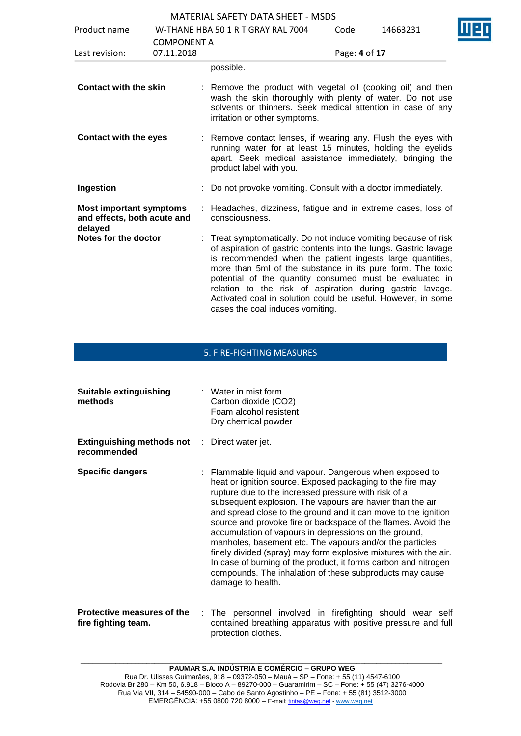| Product name                                                             |                    | W-THANE HBA 50 1 R T GRAY RAL 7004                                                                                                                                                                                                                                                                                                                                                                                                                                                       | Code          | 14663231 |  |
|--------------------------------------------------------------------------|--------------------|------------------------------------------------------------------------------------------------------------------------------------------------------------------------------------------------------------------------------------------------------------------------------------------------------------------------------------------------------------------------------------------------------------------------------------------------------------------------------------------|---------------|----------|--|
|                                                                          | <b>COMPONENT A</b> |                                                                                                                                                                                                                                                                                                                                                                                                                                                                                          |               |          |  |
| Last revision:                                                           | 07.11.2018         |                                                                                                                                                                                                                                                                                                                                                                                                                                                                                          | Page: 4 of 17 |          |  |
|                                                                          |                    | possible.                                                                                                                                                                                                                                                                                                                                                                                                                                                                                |               |          |  |
| <b>Contact with the skin</b>                                             |                    | : Remove the product with vegetal oil (cooking oil) and then<br>wash the skin thoroughly with plenty of water. Do not use<br>solvents or thinners. Seek medical attention in case of any<br>irritation or other symptoms.                                                                                                                                                                                                                                                                |               |          |  |
| <b>Contact with the eyes</b>                                             |                    | : Remove contact lenses, if wearing any. Flush the eyes with<br>running water for at least 15 minutes, holding the eyelids<br>apart. Seek medical assistance immediately, bringing the<br>product label with you.                                                                                                                                                                                                                                                                        |               |          |  |
| Ingestion                                                                |                    | : Do not provoke vomiting. Consult with a doctor immediately.                                                                                                                                                                                                                                                                                                                                                                                                                            |               |          |  |
| <b>Most important symptoms</b><br>and effects, both acute and<br>delayed |                    | : Headaches, dizziness, fatigue and in extreme cases, loss of<br>consciousness.                                                                                                                                                                                                                                                                                                                                                                                                          |               |          |  |
| Notes for the doctor                                                     |                    | Treat symptomatically. Do not induce vomiting because of risk<br>of aspiration of gastric contents into the lungs. Gastric lavage<br>is recommended when the patient ingests large quantities,<br>more than 5ml of the substance in its pure form. The toxic<br>potential of the quantity consumed must be evaluated in<br>relation to the risk of aspiration during gastric lavage.<br>Activated coal in solution could be useful. However, in some<br>cases the coal induces vomiting. |               |          |  |

## 5. FIRE-FIGHTING MEASURES

| <b>Suitable extinguishing</b><br>methods                            | $\therefore$ Water in mist form<br>Carbon dioxide (CO2)<br>Foam alcohol resistent<br>Dry chemical powder                                                                                                                                                                                                                                                                                                                                                                                                                                                                                                                                                                                                                    |
|---------------------------------------------------------------------|-----------------------------------------------------------------------------------------------------------------------------------------------------------------------------------------------------------------------------------------------------------------------------------------------------------------------------------------------------------------------------------------------------------------------------------------------------------------------------------------------------------------------------------------------------------------------------------------------------------------------------------------------------------------------------------------------------------------------------|
| <b>Extinguishing methods not</b> : Direct water jet.<br>recommended |                                                                                                                                                                                                                                                                                                                                                                                                                                                                                                                                                                                                                                                                                                                             |
| <b>Specific dangers</b>                                             | : Flammable liquid and vapour. Dangerous when exposed to<br>heat or ignition source. Exposed packaging to the fire may<br>rupture due to the increased pressure with risk of a<br>subsequent explosion. The vapours are havier than the air<br>and spread close to the ground and it can move to the ignition<br>source and provoke fire or backspace of the flames. Avoid the<br>accumulation of vapours in depressions on the ground,<br>manholes, basement etc. The vapours and/or the particles<br>finely divided (spray) may form explosive mixtures with the air.<br>In case of burning of the product, it forms carbon and nitrogen<br>compounds. The inhalation of these subproducts may cause<br>damage to health. |
| Protective measures of the<br>fire fighting team.                   | : The personnel involved in firefighting should wear self<br>contained breathing apparatus with positive pressure and full                                                                                                                                                                                                                                                                                                                                                                                                                                                                                                                                                                                                  |

protection clothes.

Rua Via VII, 314 – 54590-000 – Cabo de Santo Agostinho – PE – Fone: + 55 (81) 3512-3000 EMERGËNCIA: +55 0800 720 8000 – E-mail[: tintas@weg.net](mailto:tintas@weg.net) - [www.weg.net](http://www.weg.net/)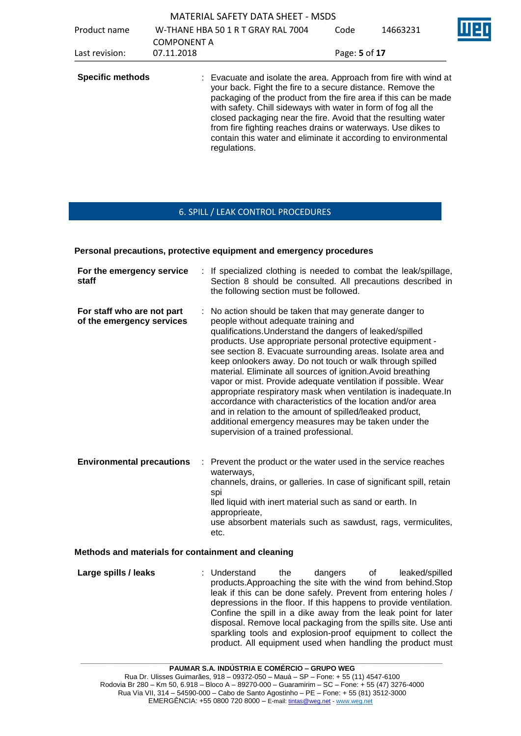|                         |                    | <b>MATERIAL SAFETY DATA SHEET - MSDS</b>                                                                                                                                                                                                                                                                                                                                                                            |               |                                                                 |  |
|-------------------------|--------------------|---------------------------------------------------------------------------------------------------------------------------------------------------------------------------------------------------------------------------------------------------------------------------------------------------------------------------------------------------------------------------------------------------------------------|---------------|-----------------------------------------------------------------|--|
| Product name            | <b>COMPONENT A</b> | W-THANE HBA 50 1 R T GRAY RAL 7004                                                                                                                                                                                                                                                                                                                                                                                  | Code          | 14663231                                                        |  |
| Last revision:          | 07.11.2018         |                                                                                                                                                                                                                                                                                                                                                                                                                     | Page: 5 of 17 |                                                                 |  |
| <b>Specific methods</b> |                    | : Evacuate and isolate the area. Approach from fire with wind at<br>your back. Fight the fire to a secure distance. Remove the<br>with safety. Chill sideways with water in form of fog all the<br>closed packaging near the fire. Avoid that the resulting water<br>from fire fighting reaches drains or waterways. Use dikes to<br>contain this water and eliminate it according to environmental<br>regulations. |               | packaging of the product from the fire area if this can be made |  |

## 6. SPILL / LEAK CONTROL PROCEDURES

### **Personal precautions, protective equipment and emergency procedures**

| For the emergency service<br>staff                      |   | If specialized clothing is needed to combat the leak/spillage,<br>Section 8 should be consulted. All precautions described in<br>the following section must be followed.                                                                                                                                                                                                                                                                                                                                                                                                                                                                                                                                                                                                              |
|---------------------------------------------------------|---|---------------------------------------------------------------------------------------------------------------------------------------------------------------------------------------------------------------------------------------------------------------------------------------------------------------------------------------------------------------------------------------------------------------------------------------------------------------------------------------------------------------------------------------------------------------------------------------------------------------------------------------------------------------------------------------------------------------------------------------------------------------------------------------|
| For staff who are not part<br>of the emergency services |   | : No action should be taken that may generate danger to<br>people without adequate training and<br>qualifications. Understand the dangers of leaked/spilled<br>products. Use appropriate personal protective equipment -<br>see section 8. Evacuate surrounding areas. Isolate area and<br>keep onlookers away. Do not touch or walk through spilled<br>material. Eliminate all sources of ignition. Avoid breathing<br>vapor or mist. Provide adequate ventilation if possible. Wear<br>appropriate respiratory mask when ventilation is inadequate. In<br>accordance with characteristics of the location and/or area<br>and in relation to the amount of spilled/leaked product,<br>additional emergency measures may be taken under the<br>supervision of a trained professional. |
| <b>Environmental precautions</b>                        | ÷ | Prevent the product or the water used in the service reaches<br>waterways,<br>channels, drains, or galleries. In case of significant spill, retain<br>spi<br>lled liquid with inert material such as sand or earth. In<br>approprieate,<br>use absorbent materials such as sawdust, rags, vermiculites,<br>etc.                                                                                                                                                                                                                                                                                                                                                                                                                                                                       |

### **Methods and materials for containment and cleaning**

**Large spills / leaks** : Understand the dangers of leaked/spilled products.Approaching the site with the wind from behind.Stop leak if this can be done safely. Prevent from entering holes / depressions in the floor. If this happens to provide ventilation. Confine the spill in a dike away from the leak point for later disposal. Remove local packaging from the spills site. Use anti sparkling tools and explosion-proof equipment to collect the product. All equipment used when handling the product must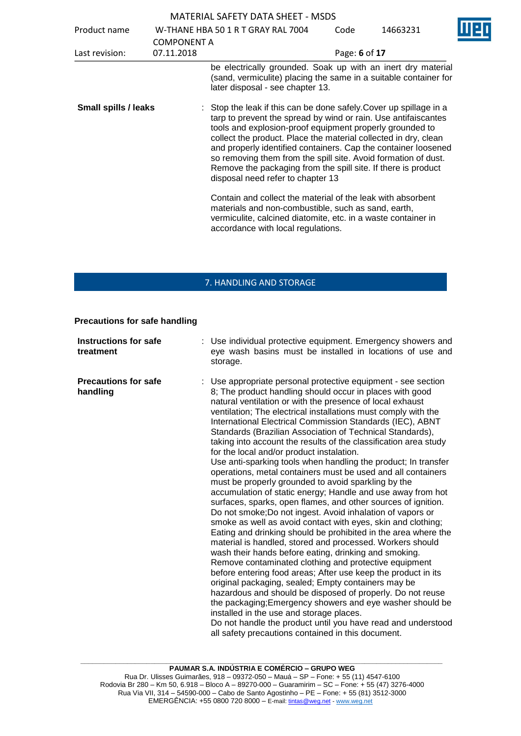| MATERIAL SAFETY DATA SHEET - MSDS |  |
|-----------------------------------|--|
|-----------------------------------|--|

| Product name                | <b>COMPONENT A</b> | W-THANE HBA 50 1 R T GRAY RAL 7004                                                                                                                                                                                                                                                                                                                                                                                                                                                                          | Code          | 14663231 |  |
|-----------------------------|--------------------|-------------------------------------------------------------------------------------------------------------------------------------------------------------------------------------------------------------------------------------------------------------------------------------------------------------------------------------------------------------------------------------------------------------------------------------------------------------------------------------------------------------|---------------|----------|--|
| Last revision:              | 07.11.2018         |                                                                                                                                                                                                                                                                                                                                                                                                                                                                                                             | Page: 6 of 17 |          |  |
|                             |                    | be electrically grounded. Soak up with an inert dry material<br>(sand, vermiculite) placing the same in a suitable container for<br>later disposal - see chapter 13.                                                                                                                                                                                                                                                                                                                                        |               |          |  |
| <b>Small spills / leaks</b> |                    | Stop the leak if this can be done safely. Cover up spillage in a<br>tarp to prevent the spread by wind or rain. Use antifaiscantes<br>tools and explosion-proof equipment properly grounded to<br>collect the product. Place the material collected in dry, clean<br>and properly identified containers. Cap the container loosened<br>so removing them from the spill site. Avoid formation of dust.<br>Remove the packaging from the spill site. If there is product<br>disposal need refer to chapter 13 |               |          |  |
|                             |                    | Contain and collect the material of the leak with absorbent<br>materials and non-combustible, such as sand, earth,<br>vermiculite, calcined diatomite, etc. in a waste container in<br>accordance with local regulations.                                                                                                                                                                                                                                                                                   |               |          |  |

## 7. HANDLING AND STORAGE

### **Precautions for safe handling**

| <b>Instructions for safe</b><br>treatment | : Use individual protective equipment. Emergency showers and<br>eye wash basins must be installed in locations of use and<br>storage.                                                                                                                                                                                                                                                                                                                                                                                                                                                                                                                                                                                                                                                                                                                                                                                                                                                                                                                                                                                                                                                                                                                                                                                                                                                                                                                                                                                                                                                                                            |
|-------------------------------------------|----------------------------------------------------------------------------------------------------------------------------------------------------------------------------------------------------------------------------------------------------------------------------------------------------------------------------------------------------------------------------------------------------------------------------------------------------------------------------------------------------------------------------------------------------------------------------------------------------------------------------------------------------------------------------------------------------------------------------------------------------------------------------------------------------------------------------------------------------------------------------------------------------------------------------------------------------------------------------------------------------------------------------------------------------------------------------------------------------------------------------------------------------------------------------------------------------------------------------------------------------------------------------------------------------------------------------------------------------------------------------------------------------------------------------------------------------------------------------------------------------------------------------------------------------------------------------------------------------------------------------------|
| <b>Precautions for safe</b><br>handling   | : Use appropriate personal protective equipment - see section<br>8; The product handling should occur in places with good<br>natural ventilation or with the presence of local exhaust<br>ventilation; The electrical installations must comply with the<br>International Electrical Commission Standards (IEC), ABNT<br>Standards (Brazilian Association of Technical Standards),<br>taking into account the results of the classification area study<br>for the local and/or product instalation.<br>Use anti-sparking tools when handling the product; In transfer<br>operations, metal containers must be used and all containers<br>must be properly grounded to avoid sparkling by the<br>accumulation of static energy; Handle and use away from hot<br>surfaces, sparks, open flames, and other sources of ignition.<br>Do not smoke; Do not ingest. Avoid inhalation of vapors or<br>smoke as well as avoid contact with eyes, skin and clothing;<br>Eating and drinking should be prohibited in the area where the<br>material is handled, stored and processed. Workers should<br>wash their hands before eating, drinking and smoking.<br>Remove contaminated clothing and protective equipment<br>before entering food areas; After use keep the product in its<br>original packaging, sealed; Empty containers may be<br>hazardous and should be disposed of properly. Do not reuse<br>the packaging; Emergency showers and eye washer should be<br>installed in the use and storage places.<br>Do not handle the product until you have read and understood<br>all safety precautions contained in this document. |

**\_\_\_\_\_\_\_\_\_\_\_\_\_\_\_\_\_\_\_\_\_\_\_\_\_\_\_\_\_\_\_\_\_\_\_\_\_\_\_\_\_\_\_\_\_\_\_\_\_\_\_\_\_\_\_\_\_\_\_\_\_\_\_\_\_\_\_\_\_\_\_\_\_\_\_\_\_\_\_\_\_\_\_\_\_\_\_\_\_\_\_\_\_**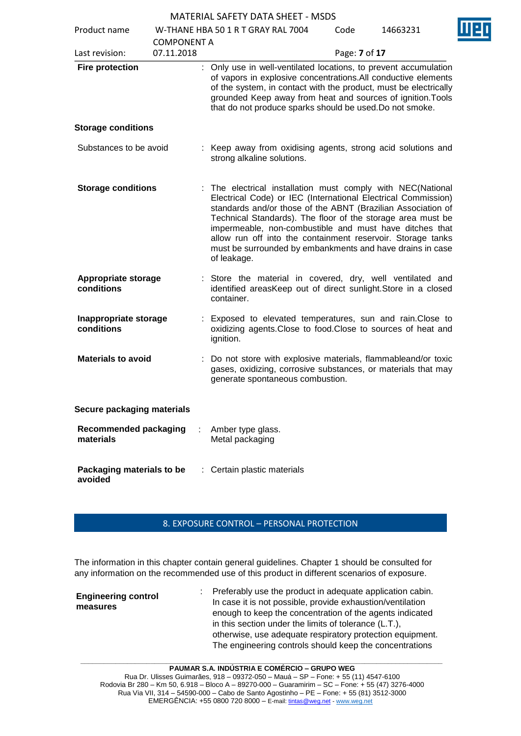| Product name                              |                                  | W-THANE HBA 50 1 R T GRAY RAL 7004                                                                                                                                                                                                                                                                                                                                                                                                                                | Code          | 14663231 |  |
|-------------------------------------------|----------------------------------|-------------------------------------------------------------------------------------------------------------------------------------------------------------------------------------------------------------------------------------------------------------------------------------------------------------------------------------------------------------------------------------------------------------------------------------------------------------------|---------------|----------|--|
| Last revision:                            | <b>COMPONENT A</b><br>07.11.2018 |                                                                                                                                                                                                                                                                                                                                                                                                                                                                   | Page: 7 of 17 |          |  |
| <b>Fire protection</b>                    |                                  | : Only use in well-ventilated locations, to prevent accumulation<br>of vapors in explosive concentrations. All conductive elements<br>of the system, in contact with the product, must be electrically<br>grounded Keep away from heat and sources of ignition. Tools<br>that do not produce sparks should be used. Do not smoke.                                                                                                                                 |               |          |  |
| <b>Storage conditions</b>                 |                                  |                                                                                                                                                                                                                                                                                                                                                                                                                                                                   |               |          |  |
| Substances to be avoid                    |                                  | : Keep away from oxidising agents, strong acid solutions and<br>strong alkaline solutions.                                                                                                                                                                                                                                                                                                                                                                        |               |          |  |
| <b>Storage conditions</b>                 |                                  | : The electrical installation must comply with NEC(National<br>Electrical Code) or IEC (International Electrical Commission)<br>standards and/or those of the ABNT (Brazilian Association of<br>Technical Standards). The floor of the storage area must be<br>impermeable, non-combustible and must have ditches that<br>allow run off into the containment reservoir. Storage tanks<br>must be surrounded by embankments and have drains in case<br>of leakage. |               |          |  |
| Appropriate storage<br>conditions         |                                  | : Store the material in covered, dry, well ventilated and<br>identified areasKeep out of direct sunlight. Store in a closed<br>container.                                                                                                                                                                                                                                                                                                                         |               |          |  |
| Inappropriate storage<br>conditions       |                                  | Exposed to elevated temperatures, sun and rain. Close to<br>oxidizing agents. Close to food. Close to sources of heat and<br>ignition.                                                                                                                                                                                                                                                                                                                            |               |          |  |
| <b>Materials to avoid</b>                 |                                  | : Do not store with explosive materials, flammableand/or toxic<br>gases, oxidizing, corrosive substances, or materials that may<br>generate spontaneous combustion.                                                                                                                                                                                                                                                                                               |               |          |  |
| Secure packaging materials                |                                  |                                                                                                                                                                                                                                                                                                                                                                                                                                                                   |               |          |  |
| <b>Recommended packaging</b><br>materials |                                  | Amber type glass.<br>Metal packaging                                                                                                                                                                                                                                                                                                                                                                                                                              |               |          |  |
| Packaging materials to be<br>avoided      |                                  | : Certain plastic materials                                                                                                                                                                                                                                                                                                                                                                                                                                       |               |          |  |

## 8. EXPOSURE CONTROL – PERSONAL PROTECTION

The information in this chapter contain general guidelines. Chapter 1 should be consulted for any information on the recommended use of this product in different scenarios of exposure.

| <b>Engineering control</b><br>measures | Preferably use the product in adequate application cabin.<br>In case it is not possible, provide exhaustion/ventilation<br>enough to keep the concentration of the agents indicated<br>in this section under the limits of tolerance (L.T.),<br>otherwise, use adequate respiratory protection equipment.<br>The engineering controls should keep the concentrations |
|----------------------------------------|----------------------------------------------------------------------------------------------------------------------------------------------------------------------------------------------------------------------------------------------------------------------------------------------------------------------------------------------------------------------|
|----------------------------------------|----------------------------------------------------------------------------------------------------------------------------------------------------------------------------------------------------------------------------------------------------------------------------------------------------------------------------------------------------------------------|

**\_\_\_\_\_\_\_\_\_\_\_\_\_\_\_\_\_\_\_\_\_\_\_\_\_\_\_\_\_\_\_\_\_\_\_\_\_\_\_\_\_\_\_\_\_\_\_\_\_\_\_\_\_\_\_\_\_\_\_\_\_\_\_\_\_\_\_\_\_\_\_\_\_\_\_\_\_\_\_\_\_\_\_\_\_\_\_\_\_\_\_\_\_**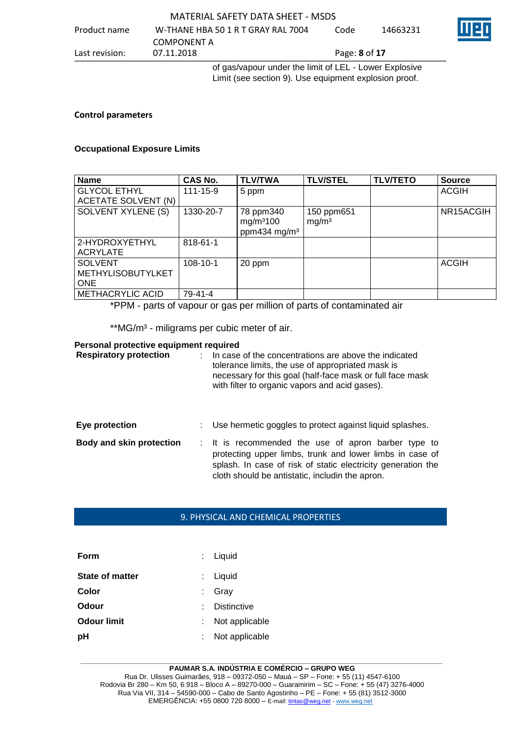|                | of ass/vapour under the limit of LEL - Lower Explosive |      |          |  |  |  |
|----------------|--------------------------------------------------------|------|----------|--|--|--|
| Last revision: | 07.11.2018<br>Page: <b>8</b> of 17                     |      |          |  |  |  |
|                | COMPONENT A                                            |      |          |  |  |  |
| Product name   | W-THANE HBA 50 1 R T GRAY RAL 7004                     | Code | 14663231 |  |  |  |
|                |                                                        |      |          |  |  |  |

of gas/vapour under the limit of LEL - Lower Explosive Limit (see section 9). Use equipment explosion proof.

### **Control parameters**

## **Occupational Exposure Limits**

| <b>Name</b>                                              | CAS No.        | <b>TLV/TWA</b>                                                 | <b>TLV/STEL</b>                 | <b>TLV/TETO</b> | <b>Source</b> |
|----------------------------------------------------------|----------------|----------------------------------------------------------------|---------------------------------|-----------------|---------------|
| <b>GLYCOL ETHYL</b><br>ACETATE SOLVENT (N)               | $111 - 15 - 9$ | 5 ppm                                                          |                                 |                 | <b>ACGIH</b>  |
| <b>SOLVENT XYLENE (S)</b>                                | 1330-20-7      | 78 ppm340<br>mg/m <sup>3</sup> 100<br>ppm434 mg/m <sup>3</sup> | 150 ppm651<br>mg/m <sup>3</sup> |                 | NR15ACGIH     |
| 2-HYDROXYETHYL<br><b>ACRYLATE</b>                        | 818-61-1       |                                                                |                                 |                 |               |
| <b>SOLVENT</b><br><b>METHYLISOBUTYLKET</b><br><b>ONE</b> | 108-10-1       | 20 ppm                                                         |                                 |                 | <b>ACGIH</b>  |
| <b>METHACRYLIC ACID</b>                                  | 79-41-4        |                                                                |                                 |                 |               |

\*PPM - parts of vapour or gas per million of parts of contaminated air

\*\*MG/m<sup>3</sup> - miligrams per cubic meter of air.

### **Personal protective equipment required**

| <b>Respiratory protection</b>   | In case of the concentrations are above the indicated<br>tolerance limits, the use of appropriated mask is<br>necessary for this goal (half-face mask or full face mask<br>with filter to organic vapors and acid gases).          |
|---------------------------------|------------------------------------------------------------------------------------------------------------------------------------------------------------------------------------------------------------------------------------|
| Eye protection                  | Use hermetic goggles to protect against liquid splashes.                                                                                                                                                                           |
| <b>Body and skin protection</b> | : It is recommended the use of apron barber type to<br>protecting upper limbs, trunk and lower limbs in case of<br>splash. In case of risk of static electricity generation the<br>cloth should be antistatic, includin the apron. |

### 9. PHYSICAL AND CHEMICAL PROPERTIES

| Form                   | $:$ Liquid         |
|------------------------|--------------------|
| <b>State of matter</b> | : Liquid           |
| Color                  | Gray               |
| Odour                  | <b>Distinctive</b> |
| <b>Odour limit</b>     | Not applicable     |
| pH                     | Not applicable     |

#### **\_\_\_\_\_\_\_\_\_\_\_\_\_\_\_\_\_\_\_\_\_\_\_\_\_\_\_\_\_\_\_\_\_\_\_\_\_\_\_\_\_\_\_\_\_\_\_\_\_\_\_\_\_\_\_\_\_\_\_\_\_\_\_\_\_\_\_\_\_\_\_\_\_\_\_\_\_\_\_\_\_\_\_\_\_\_\_\_\_\_\_\_\_ PAUMAR S.A. INDÚSTRIA E COMÉRCIO – GRUPO WEG**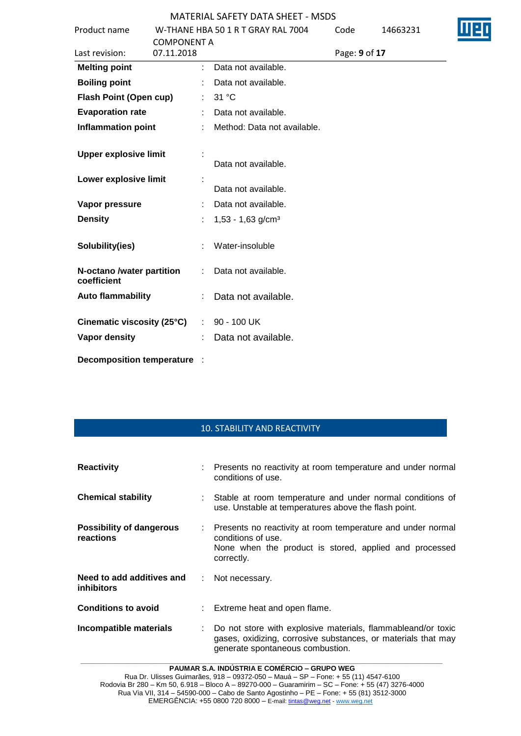|                                          |                    | LINAL JAI LII DATA JIILLI          |               |          |  |
|------------------------------------------|--------------------|------------------------------------|---------------|----------|--|
| Product name                             |                    | W-THANE HBA 50 1 R T GRAY RAL 7004 | Code          | 14663231 |  |
|                                          | <b>COMPONENT A</b> |                                    |               |          |  |
| Last revision:                           | 07.11.2018         |                                    | Page: 9 of 17 |          |  |
| <b>Melting point</b>                     | ÷.                 | Data not available.                |               |          |  |
| <b>Boiling point</b>                     |                    | Data not available.                |               |          |  |
| <b>Flash Point (Open cup)</b>            |                    | 31 °C                              |               |          |  |
| <b>Evaporation rate</b>                  |                    | Data not available.                |               |          |  |
| <b>Inflammation point</b>                |                    | Method: Data not available.        |               |          |  |
| <b>Upper explosive limit</b>             |                    | Data not available.                |               |          |  |
| Lower explosive limit                    |                    | Data not available.                |               |          |  |
| Vapor pressure                           |                    | Data not available.                |               |          |  |
| <b>Density</b>                           |                    | $1,53 - 1,63$ g/cm <sup>3</sup>    |               |          |  |
| Solubility(ies)                          |                    | Water-insoluble                    |               |          |  |
| N-octano /water partition<br>coefficient |                    | Data not available.                |               |          |  |
| <b>Auto flammability</b>                 |                    | Data not available.                |               |          |  |
| Cinematic viscosity (25°C)               | $\mathbb{R}^n$     | 90 - 100 UK                        |               |          |  |
| <b>Vapor density</b>                     |                    | Data not available.                |               |          |  |
| Decomposition temperature :              |                    |                                    |               |          |  |

## 10. STABILITY AND REACTIVITY

| <b>Reactivity</b>                              | : Presents no reactivity at room temperature and under normal<br>conditions of use.                                                                               |  |  |
|------------------------------------------------|-------------------------------------------------------------------------------------------------------------------------------------------------------------------|--|--|
| <b>Chemical stability</b>                      | Stable at room temperature and under normal conditions of<br>use. Unstable at temperatures above the flash point.                                                 |  |  |
| <b>Possibility of dangerous</b><br>reactions   | : Presents no reactivity at room temperature and under normal<br>conditions of use.<br>None when the product is stored, applied and processed<br>correctly.       |  |  |
| Need to add additives and<br><i>inhibitors</i> | : Not necessary.                                                                                                                                                  |  |  |
| <b>Conditions to avoid</b>                     | : Extreme heat and open flame.                                                                                                                                    |  |  |
| Incompatible materials                         | Do not store with explosive materials, flammableand/or toxic<br>gases, oxidizing, corrosive substances, or materials that may<br>generate spontaneous combustion. |  |  |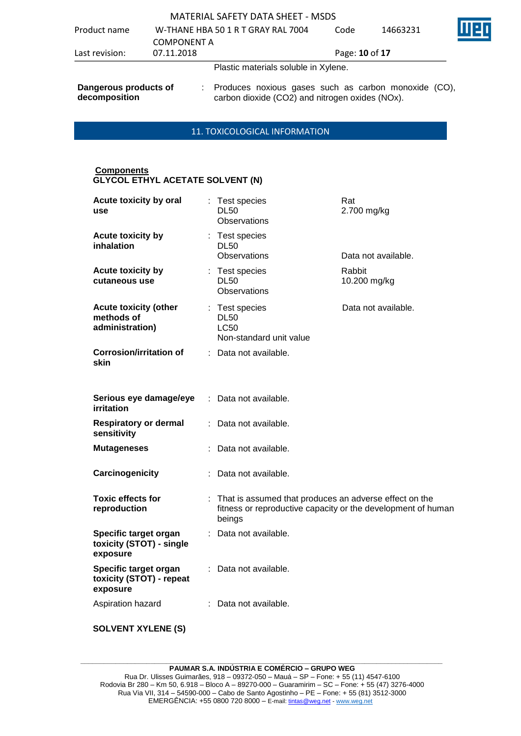## MATERIAL SAFETY DATA SHEET - MSDS Product name W-THANE HBA 50 1 R T GRAY RAL 7004 COMPONENT A<br>07.11.2018 Code 14663231 Last revision: 07.11.2018 Page: **10** of **17** Plastic materials soluble in Xylene.

**Dangerous products of decomposition** : Produces noxious gases such as carbon monoxide (CO), carbon dioxide (CO2) and nitrogen oxides (NOx).

## 11. TOXICOLOGICAL INFORMATION

### **Components GLYCOL ETHYL ACETATE SOLVENT (N)**

| Acute toxicity by oral<br>use                                 | : Test species<br><b>DL50</b><br>Observations                                                                                      | Rat<br>2.700 mg/kg     |
|---------------------------------------------------------------|------------------------------------------------------------------------------------------------------------------------------------|------------------------|
| Acute toxicity by<br>inhalation                               | : Test species<br><b>DL50</b><br>Observations                                                                                      | Data not available.    |
| Acute toxicity by<br>cutaneous use                            | : Test species<br><b>DL50</b><br>Observations                                                                                      | Rabbit<br>10.200 mg/kg |
| <b>Acute toxicity (other</b><br>methods of<br>administration) | : Test species<br><b>DL50</b><br><b>LC50</b><br>Non-standard unit value                                                            | Data not available.    |
| <b>Corrosion/irritation of</b><br>skin                        | : Data not available.                                                                                                              |                        |
| Serious eye damage/eye<br>irritation                          | : Data not available.                                                                                                              |                        |
| <b>Respiratory or dermal</b><br>sensitivity                   | : Data not available.                                                                                                              |                        |
| <b>Mutageneses</b>                                            | Data not available.                                                                                                                |                        |
| Carcinogenicity                                               | : Data not available.                                                                                                              |                        |
| <b>Toxic effects for</b><br>reproduction                      | : That is assumed that produces an adverse effect on the<br>fitness or reproductive capacity or the development of human<br>beings |                        |
| Specific target organ<br>toxicity (STOT) - single<br>exposure | Data not available.                                                                                                                |                        |
| Specific target organ<br>toxicity (STOT) - repeat<br>exposure | : Data not available.                                                                                                              |                        |
| Aspiration hazard                                             | Data not available.                                                                                                                |                        |
| <b>SOLVENT XYLENE (S)</b>                                     |                                                                                                                                    |                        |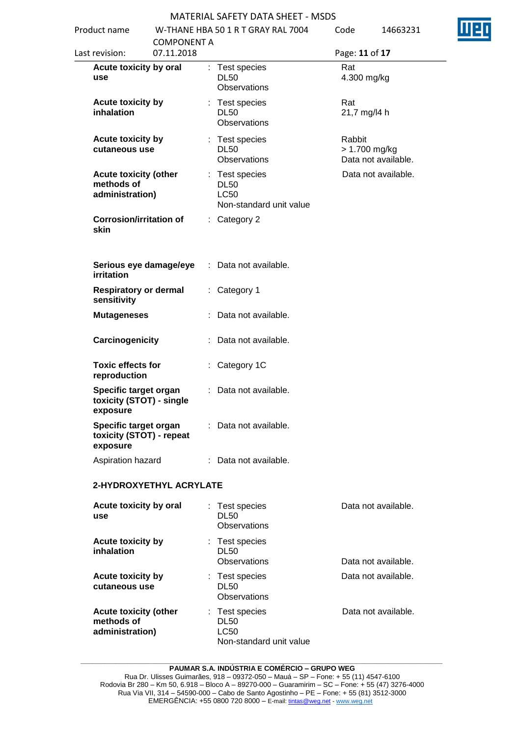| Product name                                                  |                    | 11 LINAL JAI LII DATA JIILLI<br>W-THANE HBA 50 1 R T GRAY RAL 7004      | Code |        | 14663231                             |  |
|---------------------------------------------------------------|--------------------|-------------------------------------------------------------------------|------|--------|--------------------------------------|--|
|                                                               | <b>COMPONENT A</b> |                                                                         |      |        |                                      |  |
| Last revision:                                                | 07.11.2018         |                                                                         |      |        | Page: 11 of 17                       |  |
| Acute toxicity by oral<br>use                                 |                    | : Test species<br><b>DL50</b><br>Observations                           |      | Rat    | 4.300 mg/kg                          |  |
| Acute toxicity by<br>inhalation                               |                    | : Test species<br><b>DL50</b><br>Observations                           |      | Rat    | 21,7 mg/l4 h                         |  |
| Acute toxicity by<br>cutaneous use                            |                    | : Test species<br><b>DL50</b><br>Observations                           |      | Rabbit | > 1.700 mg/kg<br>Data not available. |  |
| <b>Acute toxicity (other</b><br>methods of<br>administration) |                    | : Test species<br><b>DL50</b><br><b>LC50</b><br>Non-standard unit value |      |        | Data not available.                  |  |
| <b>Corrosion/irritation of</b><br>skin                        |                    | : Category 2                                                            |      |        |                                      |  |
| Serious eye damage/eye<br>irritation                          |                    | : Data not available.                                                   |      |        |                                      |  |
| <b>Respiratory or dermal</b><br>sensitivity                   |                    | : Category 1                                                            |      |        |                                      |  |
| <b>Mutageneses</b>                                            |                    | : Data not available.                                                   |      |        |                                      |  |
| Carcinogenicity                                               |                    | : Data not available.                                                   |      |        |                                      |  |
| <b>Toxic effects for</b><br>reproduction                      |                    | : Category 1C                                                           |      |        |                                      |  |
| Specific target organ<br>toxicity (STOT) - single<br>exposure |                    | : Data not available.                                                   |      |        |                                      |  |
| Specific target organ<br>toxicity (STOT) - repeat<br>exposure |                    | : Data not available.                                                   |      |        |                                      |  |
| Aspiration hazard                                             |                    | : Data not available.                                                   |      |        |                                      |  |
| 2-HYDROXYETHYL ACRYLATE                                       |                    |                                                                         |      |        |                                      |  |
| Acute toxicity by oral<br>use                                 |                    | : Test species<br><b>DL50</b><br>Observations                           |      |        | Data not available.                  |  |
| Acute toxicity by<br>inhalation                               |                    | : Test species<br><b>DL50</b><br>Observations                           |      |        | Data not available.                  |  |
| <b>Acute toxicity by</b><br>cutaneous use                     |                    | : Test species<br><b>DL50</b><br>Observations                           |      |        | Data not available.                  |  |
| <b>Acute toxicity (other</b><br>methods of<br>administration) |                    | : Test species<br><b>DL50</b><br><b>LC50</b><br>Non-standard unit value |      |        | Data not available.                  |  |

**\_\_\_\_\_\_\_\_\_\_\_\_\_\_\_\_\_\_\_\_\_\_\_\_\_\_\_\_\_\_\_\_\_\_\_\_\_\_\_\_\_\_\_\_\_\_\_\_\_\_\_\_\_\_\_\_\_\_\_\_\_\_\_\_\_\_\_\_\_\_\_\_\_\_\_\_\_\_\_\_\_\_\_\_\_\_\_\_\_\_\_\_\_ PAUMAR S.A. INDÚSTRIA E COMÉRCIO – GRUPO WEG**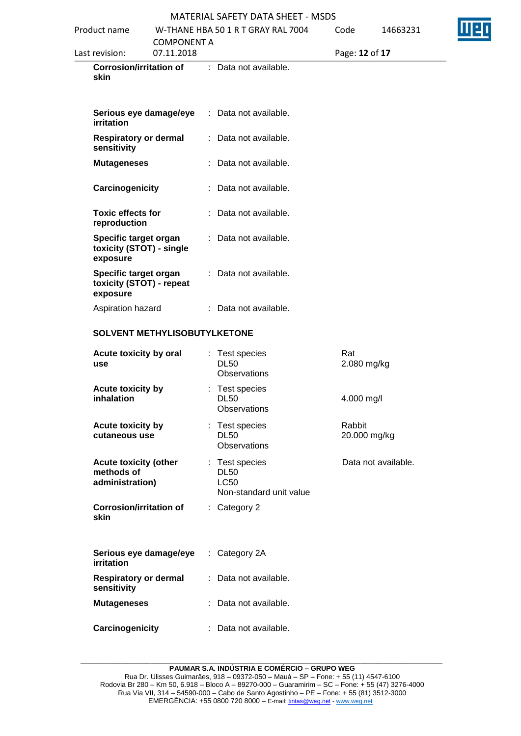| Product name<br><b>COMPONENT A</b> |                                                               | W-THANE HBA 50 1 R T GRAY RAL 7004 |  | Code                                                                    | 14663231               |                     |  |
|------------------------------------|---------------------------------------------------------------|------------------------------------|--|-------------------------------------------------------------------------|------------------------|---------------------|--|
|                                    | Last revision:                                                | 07.11.2018                         |  |                                                                         | Page: 12 of 17         |                     |  |
|                                    | <b>Corrosion/irritation of</b><br>skin                        |                                    |  | : Data not available.                                                   |                        |                     |  |
|                                    | Serious eye damage/eye<br>irritation                          |                                    |  | : Data not available.                                                   |                        |                     |  |
|                                    | <b>Respiratory or dermal</b><br>sensitivity                   |                                    |  | : Data not available.                                                   |                        |                     |  |
|                                    | <b>Mutageneses</b>                                            |                                    |  | : Data not available.                                                   |                        |                     |  |
|                                    | Carcinogenicity                                               |                                    |  | Data not available.                                                     |                        |                     |  |
|                                    | <b>Toxic effects for</b><br>reproduction                      |                                    |  | : Data not available.                                                   |                        |                     |  |
|                                    | Specific target organ<br>toxicity (STOT) - single<br>exposure |                                    |  | Data not available.                                                     |                        |                     |  |
|                                    | Specific target organ<br>toxicity (STOT) - repeat<br>exposure |                                    |  | : Data not available.                                                   |                        |                     |  |
|                                    | Aspiration hazard                                             |                                    |  | : Data not available.                                                   |                        |                     |  |
|                                    | SOLVENT METHYLISOBUTYLKETONE                                  |                                    |  |                                                                         |                        |                     |  |
|                                    | Acute toxicity by oral<br><b>use</b>                          |                                    |  | : Test species<br><b>DL50</b><br>Observations                           | Rat<br>2.080 mg/kg     |                     |  |
|                                    | Acute toxicity by<br>inhalation                               |                                    |  | : Test species<br><b>DL50</b><br><b>Observations</b>                    | 4.000 mg/l             |                     |  |
|                                    | <b>Acute toxicity by</b><br>cutaneous use                     |                                    |  | : Test species<br><b>DL50</b><br><b>Observations</b>                    | Rabbit<br>20.000 mg/kg |                     |  |
|                                    | <b>Acute toxicity (other</b><br>methods of<br>administration) |                                    |  | : Test species<br><b>DL50</b><br><b>LC50</b><br>Non-standard unit value |                        | Data not available. |  |
|                                    | <b>Corrosion/irritation of</b><br>skin                        |                                    |  | : Category 2                                                            |                        |                     |  |
|                                    | Serious eye damage/eye<br><b>irritation</b>                   |                                    |  | : Category 2A                                                           |                        |                     |  |
|                                    | <b>Respiratory or dermal</b><br>sensitivity                   |                                    |  | : Data not available.                                                   |                        |                     |  |
|                                    | <b>Mutageneses</b>                                            |                                    |  | : Data not available.                                                   |                        |                     |  |
|                                    | Carcinogenicity                                               |                                    |  | : Data not available.                                                   |                        |                     |  |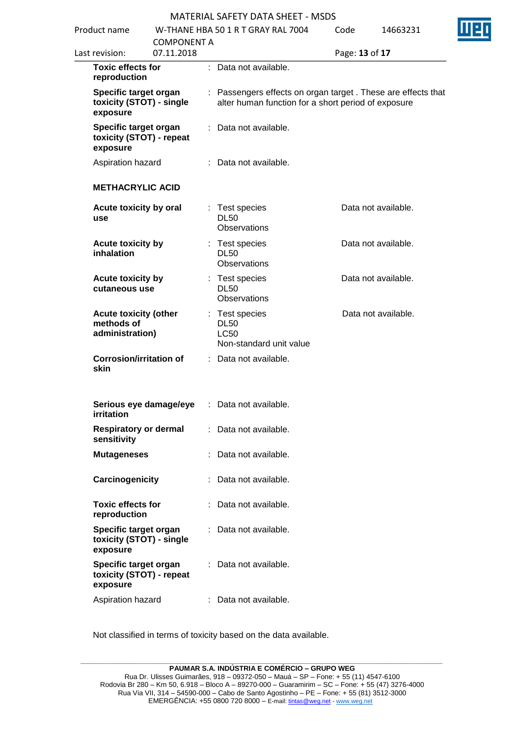| Product name |                                                               |                                  | W-THANE HBA 50 1 R T GRAY RAL 7004 |                                                                                                                     |                | 14663231            | Щ |
|--------------|---------------------------------------------------------------|----------------------------------|------------------------------------|---------------------------------------------------------------------------------------------------------------------|----------------|---------------------|---|
|              | Last revision:                                                | <b>COMPONENT A</b><br>07.11.2018 |                                    |                                                                                                                     | Page: 13 of 17 |                     |   |
|              | <b>Toxic effects for</b><br>reproduction                      |                                  |                                    | : Data not available.                                                                                               |                |                     |   |
|              | Specific target organ<br>toxicity (STOT) - single<br>exposure |                                  |                                    | : Passengers effects on organ target. These are effects that<br>alter human function for a short period of exposure |                |                     |   |
|              | Specific target organ<br>toxicity (STOT) - repeat<br>exposure |                                  |                                    | Data not available.                                                                                                 |                |                     |   |
|              | Aspiration hazard                                             |                                  |                                    | Data not available.                                                                                                 |                |                     |   |
|              | <b>METHACRYLIC ACID</b>                                       |                                  |                                    |                                                                                                                     |                |                     |   |
|              | Acute toxicity by oral<br>use                                 |                                  | t                                  | Test species<br><b>DL50</b><br>Observations                                                                         |                | Data not available. |   |
|              | Acute toxicity by<br>inhalation                               |                                  |                                    | Test species<br><b>DL50</b><br><b>Observations</b>                                                                  |                | Data not available. |   |
|              | <b>Acute toxicity by</b><br>cutaneous use                     |                                  |                                    | Test species<br><b>DL50</b><br>Observations                                                                         |                | Data not available. |   |
|              | <b>Acute toxicity (other</b><br>methods of<br>administration) |                                  |                                    | : Test species<br><b>DL50</b><br><b>LC50</b><br>Non-standard unit value                                             |                | Data not available. |   |
|              | <b>Corrosion/irritation of</b><br>skin                        |                                  |                                    | : Data not available.                                                                                               |                |                     |   |
|              | Serious eye damage/eye<br>irritation                          |                                  |                                    | : Data not available.                                                                                               |                |                     |   |
|              | <b>Respiratory or dermal</b><br>sensitivity                   |                                  |                                    | : Data not available.                                                                                               |                |                     |   |
|              | <b>Mutageneses</b>                                            |                                  |                                    | Data not available.                                                                                                 |                |                     |   |
|              | Carcinogenicity                                               |                                  |                                    | Data not available.                                                                                                 |                |                     |   |
|              | <b>Toxic effects for</b><br>reproduction                      |                                  |                                    | Data not available.                                                                                                 |                |                     |   |
|              | Specific target organ<br>toxicity (STOT) - single<br>exposure |                                  |                                    | Data not available.                                                                                                 |                |                     |   |
|              | Specific target organ<br>toxicity (STOT) - repeat<br>exposure |                                  |                                    | Data not available.                                                                                                 |                |                     |   |
|              | Aspiration hazard                                             |                                  |                                    | Data not available.                                                                                                 |                |                     |   |

Not classified in terms of toxicity based on the data available.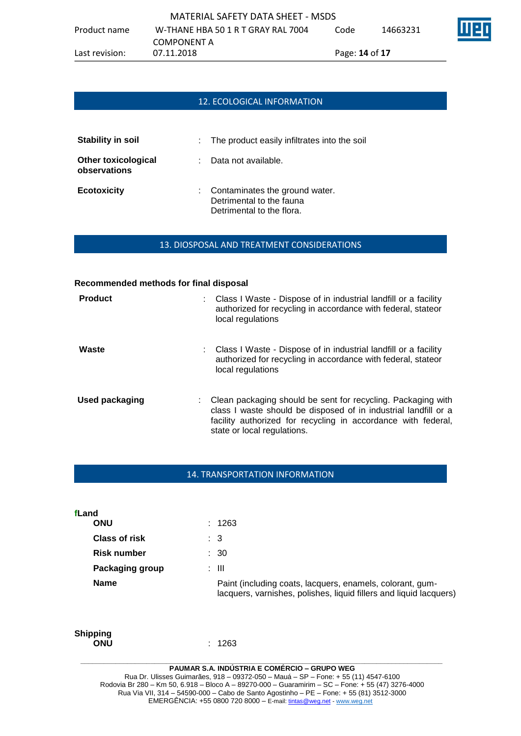|                | MATERIAL SAFETY DATA SHEET - MSDS  |                    |          |                         |
|----------------|------------------------------------|--------------------|----------|-------------------------|
| Product name   | W-THANE HBA 50 1 R T GRAY RAL 7004 | Code               | 14663231 | $\overline{\mathbb{H}}$ |
|                | COMPONENT A                        |                    |          |                         |
| Last revision: | 07.11.2018                         | Page: $14$ of $17$ |          |                         |

# 12. ECOLOGICAL INFORMATION

| <b>Stability in soil</b>                   | : The product easily infiltrates into the soil                                          |
|--------------------------------------------|-----------------------------------------------------------------------------------------|
| <b>Other toxicological</b><br>observations | : Data not available.                                                                   |
| <b>Ecotoxicity</b>                         | Contaminates the ground water.<br>Detrimental to the fauna<br>Detrimental to the flora. |

### 13. DIOSPOSAL AND TREATMENT CONSIDERATIONS

### **Recommended methods for final disposal**

| <b>Product</b> | Class I Waste - Dispose of in industrial landfill or a facility<br>authorized for recycling in accordance with federal, stateor<br>local regulations                                                                            |
|----------------|---------------------------------------------------------------------------------------------------------------------------------------------------------------------------------------------------------------------------------|
| Waste          | Class I Waste - Dispose of in industrial landfill or a facility<br>authorized for recycling in accordance with federal, stateor<br>local regulations                                                                            |
| Used packaging | Clean packaging should be sent for recycling. Packaging with<br>class I waste should be disposed of in industrial landfill or a<br>facility authorized for recycling in accordance with federal,<br>state or local regulations. |

### 14. TRANSPORTATION INFORMATION

|                               |                      | <b>PAUMAR S.A. INDÚSTRIA E COMÉRCIO – GRUPO WEG</b>                                                                             |
|-------------------------------|----------------------|---------------------------------------------------------------------------------------------------------------------------------|
| <b>Shipping</b><br><b>ONU</b> |                      | : 1263                                                                                                                          |
| <b>Name</b>                   |                      | Paint (including coats, lacquers, enamels, colorant, gum-<br>lacquers, varnishes, polishes, liquid fillers and liquid lacquers) |
|                               | Packaging group      | : III                                                                                                                           |
|                               | <b>Risk number</b>   | $\therefore$ 30                                                                                                                 |
|                               | <b>Class of risk</b> | $\therefore$ 3                                                                                                                  |
| fLand<br><b>ONU</b>           |                      | : 1263                                                                                                                          |
|                               |                      |                                                                                                                                 |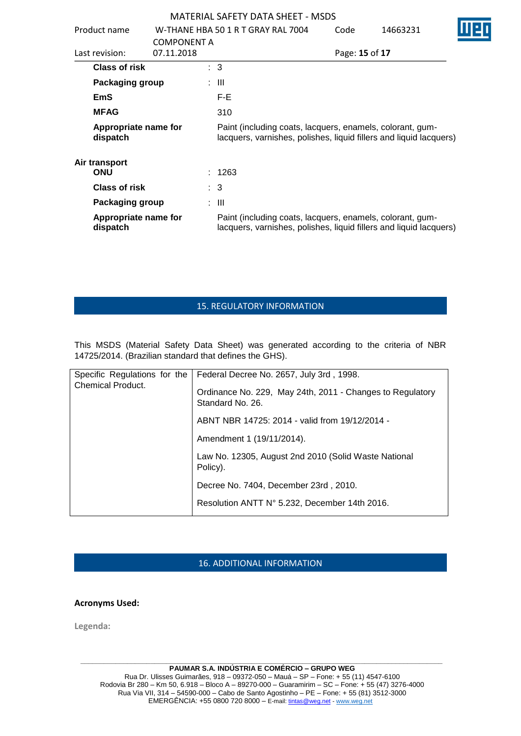|                              | Product name                     |                                                                                                                                 |   | W-THANE HBA 50 1 R T GRAY RAL 7004                                                                                              | Code           | 14663231 |  |
|------------------------------|----------------------------------|---------------------------------------------------------------------------------------------------------------------------------|---|---------------------------------------------------------------------------------------------------------------------------------|----------------|----------|--|
| 07.11.2018<br>Last revision: |                                  | <b>COMPONENT A</b>                                                                                                              |   |                                                                                                                                 | Page: 15 of 17 |          |  |
|                              | Class of risk                    |                                                                                                                                 |   | : 3                                                                                                                             |                |          |  |
|                              | Packaging group                  |                                                                                                                                 |   | : III                                                                                                                           |                |          |  |
|                              | EmS                              |                                                                                                                                 |   | F-E                                                                                                                             |                |          |  |
|                              | <b>MFAG</b>                      |                                                                                                                                 |   | 310                                                                                                                             |                |          |  |
|                              | Appropriate name for<br>dispatch | Paint (including coats, lacquers, enamels, colorant, gum-<br>lacquers, varnishes, polishes, liquid fillers and liquid lacquers) |   |                                                                                                                                 |                |          |  |
|                              | Air transport<br><b>ONU</b>      |                                                                                                                                 |   | : 1263                                                                                                                          |                |          |  |
|                              | <b>Class of risk</b>             |                                                                                                                                 |   | $\therefore$ 3                                                                                                                  |                |          |  |
|                              | <b>Packaging group</b>           |                                                                                                                                 | ÷ | Ш                                                                                                                               |                |          |  |
|                              | Appropriate name for<br>dispatch |                                                                                                                                 |   | Paint (including coats, lacquers, enamels, colorant, gum-<br>lacquers, varnishes, polishes, liquid fillers and liquid lacquers) |                |          |  |

# 15. REGULATORY INFORMATION

This MSDS (Material Safety Data Sheet) was generated according to the criteria of NBR 14725/2014. (Brazilian standard that defines the GHS).

| Specific Regulations for the<br><b>Chemical Product.</b> | Federal Decree No. 2657, July 3rd, 1998.<br>Ordinance No. 229, May 24th, 2011 - Changes to Regulatory<br>Standard No. 26. |
|----------------------------------------------------------|---------------------------------------------------------------------------------------------------------------------------|
|                                                          | ABNT NBR 14725: 2014 - valid from 19/12/2014 -                                                                            |
|                                                          | Amendment 1 (19/11/2014).                                                                                                 |
|                                                          | Law No. 12305, August 2nd 2010 (Solid Waste National<br>Policy).                                                          |
|                                                          | Decree No. 7404, December 23rd, 2010.                                                                                     |
|                                                          | Resolution ANTT N° 5.232, December 14th 2016.                                                                             |

## 16. ADDITIONAL INFORMATION

**Acronyms Used:**

**Legenda:**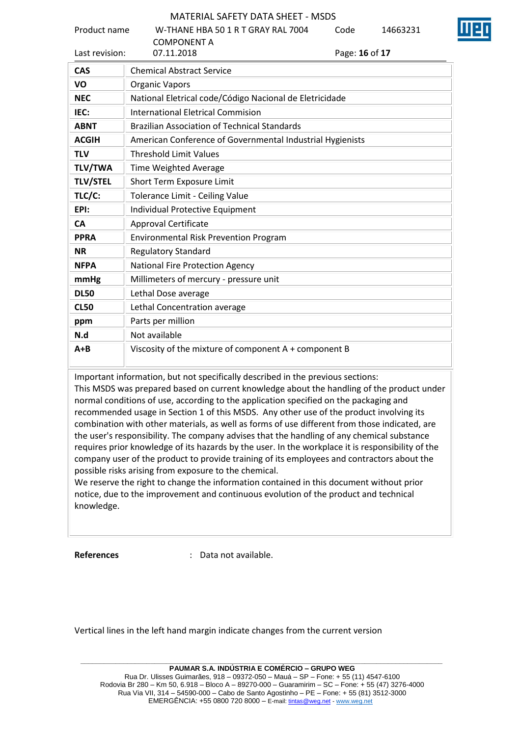| Product name    | W-THANE HBA 50 1 R T GRAY RAL 7004<br><b>COMPONENT A</b>  | Code           | 14663231 |
|-----------------|-----------------------------------------------------------|----------------|----------|
| Last revision:  | 07.11.2018                                                | Page: 16 of 17 |          |
| <b>CAS</b>      | <b>Chemical Abstract Service</b>                          |                |          |
| VO              | <b>Organic Vapors</b>                                     |                |          |
| <b>NEC</b>      | National Eletrical code/Código Nacional de Eletricidade   |                |          |
| IEC:            | International Eletrical Commision                         |                |          |
| <b>ABNT</b>     | <b>Brazilian Association of Technical Standards</b>       |                |          |
| <b>ACGIH</b>    | American Conference of Governmental Industrial Hygienists |                |          |
| <b>TLV</b>      | <b>Threshold Limit Values</b>                             |                |          |
| <b>TLV/TWA</b>  | <b>Time Weighted Average</b>                              |                |          |
| <b>TLV/STEL</b> | <b>Short Term Exposure Limit</b>                          |                |          |
| TLC/C:          | Tolerance Limit - Ceiling Value                           |                |          |
| EPI:            | Individual Protective Equipment                           |                |          |
| <b>CA</b>       | <b>Approval Certificate</b>                               |                |          |
| <b>PPRA</b>     | <b>Environmental Risk Prevention Program</b>              |                |          |
| <b>NR</b>       | <b>Regulatory Standard</b>                                |                |          |
| <b>NFPA</b>     | <b>National Fire Protection Agency</b>                    |                |          |
| mmHg            | Millimeters of mercury - pressure unit                    |                |          |
| <b>DL50</b>     | Lethal Dose average                                       |                |          |
| <b>CL50</b>     | Lethal Concentration average                              |                |          |
| ppm             | Parts per million                                         |                |          |
| N.d             | Not available                                             |                |          |
| $A + B$         | Viscosity of the mixture of component A + component B     |                |          |

Important information, but not specifically described in the previous sections:

This MSDS was prepared based on current knowledge about the handling of the product under normal conditions of use, according to the application specified on the packaging and recommended usage in Section 1 of this MSDS. Any other use of the product involving its combination with other materials, as well as forms of use different from those indicated, are the user's responsibility. The company advises that the handling of any chemical substance requires prior knowledge of its hazards by the user. In the workplace it is responsibility of the company user of the product to provide training of its employees and contractors about the possible risks arising from exposure to the chemical.

We reserve the right to change the information contained in this document without prior notice, due to the improvement and continuous evolution of the product and technical knowledge.

**References** : Data not available.

Vertical lines in the left hand margin indicate changes from the current version